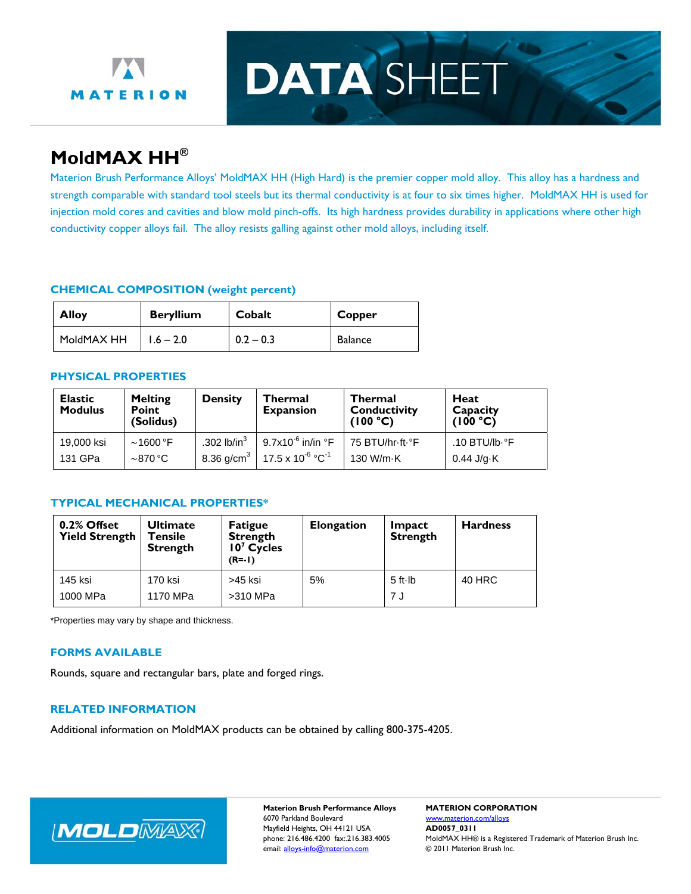

# **DATA SHEET**

## **MoldMAX HH®**

Materion Brush Performance Alloys' MoldMAX HH (High Hard) is the premier copper mold alloy. This alloy has a hardness and strength comparable with standard tool steels but its thermal conductivity is at four to six times higher. MoldMAX HH is used for injection mold cores and cavities and blow mold pinch-offs. Its high hardness provides durability in applications where other high conductivity copper alloys fail. The alloy resists galling against other mold alloys, including itself.

#### **CHEMICAL COMPOSITION (weight percent)**

| <b>Beryllium</b><br><b>Alloy</b> |             | Cobalt      | Copper  |  |
|----------------------------------|-------------|-------------|---------|--|
| <b>MoldMAX HH</b>                | $1.6 - 2.0$ | $0.2 - 0.3$ | Balance |  |

#### **PHYSICAL PROPERTIES**

| <b>Elastic</b><br><b>Modulus</b> | <b>Melting</b><br><b>Point</b><br>(Solidus) | <b>Density</b> | <b>Thermal</b><br><b>Expansion</b>                                          | <b>Thermal</b><br><b>Conductivity</b><br>(100 °C) | Heat<br>Capacity<br>(100 °C) |
|----------------------------------|---------------------------------------------|----------------|-----------------------------------------------------------------------------|---------------------------------------------------|------------------------------|
| 19,000 ksi                       | $\sim$ 1600 °F                              | .302 $lb/in3$  | 9.7x10 <sup>-6</sup> in/in °F                                               | 75 BTU/hr-ft-°F                                   | .10 BTU/lb·°F                |
| 131 GPa                          | $\sim$ 870 °C                               |                | 8.36 g/cm <sup>3</sup>   17.5 x 10 <sup>-6</sup> $^{\circ}$ C <sup>-1</sup> | 130 W/m-K                                         | $0.44$ J/g $\cdot$ K         |

### **TYPICAL MECHANICAL PROPERTIES\***

| 0.2% Offset<br><b>Yield Strength</b> | <b>Ultimate</b><br>Tensile<br><b>Strength</b> | <b>Fatigue</b><br><b>Strength</b><br>10 <sup>7</sup> Cycles<br>$(R = -1)$ | <b>Elongation</b> | Impact<br><b>Strength</b> | <b>Hardness</b> |
|--------------------------------------|-----------------------------------------------|---------------------------------------------------------------------------|-------------------|---------------------------|-----------------|
| 145 ksi<br>1000 MPa                  | 170 ksi<br>1170 MPa                           | >45 ksi<br>>310 MPa                                                       | 5%                | $5$ ft $\cdot$ Ib<br>7 J  | 40 HRC          |

\*Properties may vary by shape and thickness.

### **FORMS AVAILABLE**

Rounds, square and rectangular bars, plate and forged rings.

### **RELATED INFORMATION**

Additional information on MoldMAX products can be obtained by calling 800-375-4205.



6070 Parkland Boulevard www.materion.com/alloys Mayfield Heights, OH 44121 USA **AD0057\_0311**<br>phone: 216.486.4200 fax:.216.383.4005 MoldMAX HH®

**Materion Brush Performance Alloys MATERION CORPORATION**  MoldMAX HH® is a Registered Trademark of Materion Brush Inc. email: alloys-info@materion.com 
© 2011 Materion Brush Inc.